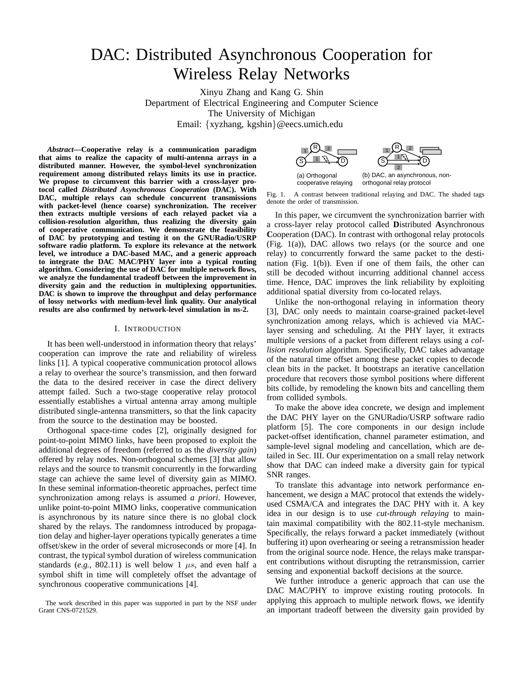# DAC: Distributed Asynchronous Cooperation for Wireless Relay Networks

Xinyu Zhang and Kang G. Shin Department of Electrical Engineering and Computer Science The University of Michigan Email: {xyzhang, kgshin}@eecs.umich.edu

*Abstract***—Cooperative relay is a communication paradigm that aims to realize the capacity of multi-antenna arrays in a distributed manner. However, the symbol-level synchronization requirement among distributed relays limits its use in practice. We propose to circumvent this barrier with a cross-layer protocol called** *Distributed Asynchronous Cooperation* **(DAC). With DAC, multiple relays can schedule concurrent transmissions with packet-level (hence coarse) synchronization. The receiver then extracts multiple versions of each relayed packet via a collision-resolution algorithm, thus realizing the diversity gain of cooperative communication. We demonstrate the feasibility of DAC by prototyping and testing it on the GNURadio/USRP software radio platform. To explore its relevance at the network level, we introduce a DAC-based MAC, and a generic approach to integrate the DAC MAC/PHY layer into a typical routing algorithm. Considering the use of DAC for multiple network flows, we analyze the fundamental tradeoff between the improvement in diversity gain and the reduction in multiplexing opportunities. DAC is shown to improve the throughput and delay performance of lossy networks with medium-level link quality. Our analytical results are also confirmed by network-level simulation in ns-2.**

## I. INTRODUCTION

It has been well-understood in information theory that relays' cooperation can improve the rate and reliability of wireless links [1]. A typical cooperative communication protocol allows a relay to overhear the source's transmission, and then forward the data to the desired receiver in case the direct delivery attempt failed. Such a two-stage cooperative relay protocol essentially establishes a virtual antenna array among multiple distributed single-antenna transmitters, so that the link capacity from the source to the destination may be boosted.

Orthogonal space-time codes [2], originally designed for point-to-point MIMO links, have been proposed to exploit the additional degrees of freedom (referred to as the *diversity gain*) offered by relay nodes. Non-orthogonal schemes [3] that allow relays and the source to transmit concurrently in the forwarding stage can achieve the same level of diversity gain as MIMO. In these seminal information-theoretic approaches, perfect time synchronization among relays is assumed *a priori*. However, unlike point-to-point MIMO links, cooperative communication is asynchronous by its nature since there is no global clock shared by the relays. The randomness introduced by propagation delay and higher-layer operations typically generates a time offset/skew in the order of several microseconds or more [4]. In contrast, the typical symbol duration of wireless communication standards (*e.g.*, 802.11) is well below 1  $\mu s$ , and even half a symbol shift in time will completely offset the advantage of synchronous cooperative communications [4].



Fig. 1. A contrast between traditional relaying and DAC. The shaded tags denote the order of transmission.

In this paper, we circumvent the synchronization barrier with a cross-layer relay protocol called **D**istributed **A**synchronous **C**ooperation (DAC). In contrast with orthogonal relay protocols (Fig. 1(a)), DAC allows two relays (or the source and one relay) to concurrently forward the same packet to the destination (Fig. 1(b)). Even if one of them fails, the other can still be decoded without incurring additional channel access time. Hence, DAC improves the link reliability by exploiting additional spatial diversity from co-located relays.

Unlike the non-orthogonal relaying in information theory [3], DAC only needs to maintain coarse-grained packet-level synchronization among relays, which is achieved via MAClayer sensing and scheduling. At the PHY layer, it extracts multiple versions of a packet from different relays using a *collision resolution* algorithm. Specifically, DAC takes advantage of the natural time offset among these packet copies to decode clean bits in the packet. It bootstraps an iterative cancellation procedure that recovers those symbol positions where different bits collide, by remodeling the known bits and cancelling them from collided symbols.

To make the above idea concrete, we design and implement the DAC PHY layer on the GNURadio/USRP software radio platform [5]. The core components in our design include packet-offset identification, channel parameter estimation, and sample-level signal modeling and cancellation, which are detailed in Sec. III. Our experimentation on a small relay network show that DAC can indeed make a diversity gain for typical SNR ranges.

To translate this advantage into network performance enhancement, we design a MAC protocol that extends the widelyused CSMA/CA and integrates the DAC PHY with it. A key idea in our design is to use *cut-through relaying* to maintain maximal compatibility with the 802.11-style mechanism. Specifically, the relays forward a packet immediately (without buffering it) upon overhearing or seeing a retransmission header from the original source node. Hence, the relays make transparent contributions without disrupting the retransmission, carrier sensing and exponential backoff decisions at the source.

We further introduce a generic approach that can use the DAC MAC/PHY to improve existing routing protocols. In applying this approach to multiple network flows, we identify an important tradeoff between the diversity gain provided by

The work described in this paper was supported in part by the NSF under Grant CNS-0721529.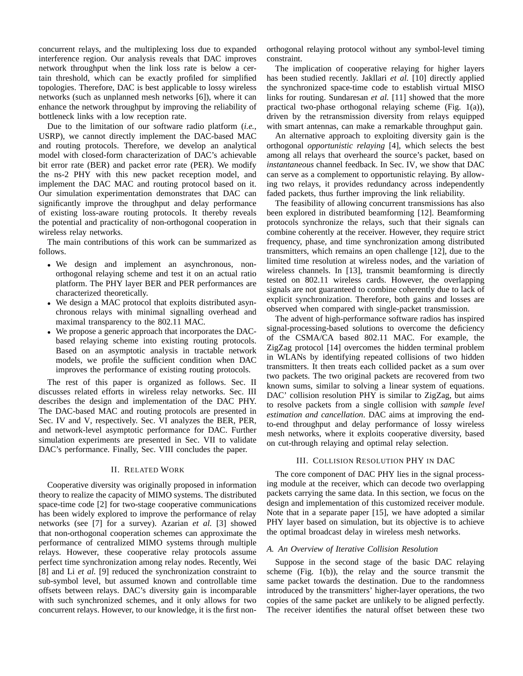concurrent relays, and the multiplexing loss due to expanded interference region. Our analysis reveals that DAC improves network throughput when the link loss rate is below a certain threshold, which can be exactly profiled for simplified topologies. Therefore, DAC is best applicable to lossy wireless networks (such as unplanned mesh networks [6]), where it can enhance the network throughput by improving the reliability of bottleneck links with a low reception rate.

Due to the limitation of our software radio platform (*i.e.*, USRP), we cannot directly implement the DAC-based MAC and routing protocols. Therefore, we develop an analytical model with closed-form characterization of DAC's achievable bit error rate (BER) and packet error rate (PER). We modify the ns-2 PHY with this new packet reception model, and implement the DAC MAC and routing protocol based on it. Our simulation experimentation demonstrates that DAC can significantly improve the throughput and delay performance of existing loss-aware routing protocols. It thereby reveals the potential and practicality of non-orthogonal cooperation in wireless relay networks.

The main contributions of this work can be summarized as follows.

- We design and implement an asynchronous, nonorthogonal relaying scheme and test it on an actual ratio platform. The PHY layer BER and PER performances are characterized theoretically.
- We design a MAC protocol that exploits distributed asynchronous relays with minimal signalling overhead and maximal transparency to the 802.11 MAC.
- We propose a generic approach that incorporates the DACbased relaying scheme into existing routing protocols. Based on an asymptotic analysis in tractable network models, we profile the sufficient condition when DAC improves the performance of existing routing protocols.

The rest of this paper is organized as follows. Sec. II discusses related efforts in wireless relay networks. Sec. III describes the design and implementation of the DAC PHY. The DAC-based MAC and routing protocols are presented in Sec. IV and V, respectively. Sec. VI analyzes the BER, PER, and network-level asymptotic performance for DAC. Further simulation experiments are presented in Sec. VII to validate DAC's performance. Finally, Sec. VIII concludes the paper.

## II. RELATED WORK

Cooperative diversity was originally proposed in information theory to realize the capacity of MIMO systems. The distributed space-time code [2] for two-stage cooperative communications has been widely explored to improve the performance of relay networks (see [7] for a survey). Azarian *et al.* [3] showed that non-orthogonal cooperation schemes can approximate the performance of centralized MIMO systems through multiple relays. However, these cooperative relay protocols assume perfect time synchronization among relay nodes. Recently, Wei [8] and Li *et al.* [9] reduced the synchronization constraint to sub-symbol level, but assumed known and controllable time offsets between relays. DAC's diversity gain is incomparable with such synchronized schemes, and it only allows for two concurrent relays. However, to our knowledge, it is the first nonorthogonal relaying protocol without any symbol-level timing constraint.

The implication of cooperative relaying for higher layers has been studied recently. Jakllari *et al.* [10] directly applied the synchronized space-time code to establish virtual MISO links for routing. Sundaresan *et al.* [11] showed that the more practical two-phase orthogonal relaying scheme (Fig. 1(a)), driven by the retransmission diversity from relays equipped with smart antennas, can make a remarkable throughput gain.

An alternative approach to exploiting diversity gain is the orthogonal *opportunistic relaying* [4], which selects the best among all relays that overheard the source's packet, based on *instantaneous* channel feedback. In Sec. IV, we show that DAC can serve as a complement to opportunistic relaying. By allowing two relays, it provides redundancy across independently faded packets, thus further improving the link reliability.

The feasibility of allowing concurrent transmissions has also been explored in distributed beamforming [12]. Beamforming protocols synchronize the relays, such that their signals can combine coherently at the receiver. However, they require strict frequency, phase, and time synchronization among distributed transmitters, which remains an open challenge [12], due to the limited time resolution at wireless nodes, and the variation of wireless channels. In [13], transmit beamforming is directly tested on 802.11 wireless cards. However, the overlapping signals are not guaranteed to combine coherently due to lack of explicit synchronization. Therefore, both gains and losses are observed when compared with single-packet transmission.

The advent of high-performance software radios has inspired signal-processing-based solutions to overcome the deficiency of the CSMA/CA based 802.11 MAC. For example, the ZigZag protocol [14] overcomes the hidden terminal problem in WLANs by identifying repeated collisions of two hidden transmitters. It then treats each collided packet as a sum over two packets. The two original packets are recovered from two known sums, similar to solving a linear system of equations. DAC' collision resolution PHY is similar to ZigZag, but aims to resolve packets from a single collision with *sample level estimation and cancellation*. DAC aims at improving the endto-end throughput and delay performance of lossy wireless mesh networks, where it exploits cooperative diversity, based on cut-through relaying and optimal relay selection.

## III. COLLISION RESOLUTION PHY IN DAC

The core component of DAC PHY lies in the signal processing module at the receiver, which can decode two overlapping packets carrying the same data. In this section, we focus on the design and implementation of this customized receiver module. Note that in a separate paper [15], we have adopted a similar PHY layer based on simulation, but its objective is to achieve the optimal broadcast delay in wireless mesh networks.

## *A. An Overview of Iterative Collision Resolution*

Suppose in the second stage of the basic DAC relaying scheme (Fig. 1(b)), the relay and the source transmit the same packet towards the destination. Due to the randomness introduced by the transmitters' higher-layer operations, the two copies of the same packet are unlikely to be aligned perfectly. The receiver identifies the natural offset between these two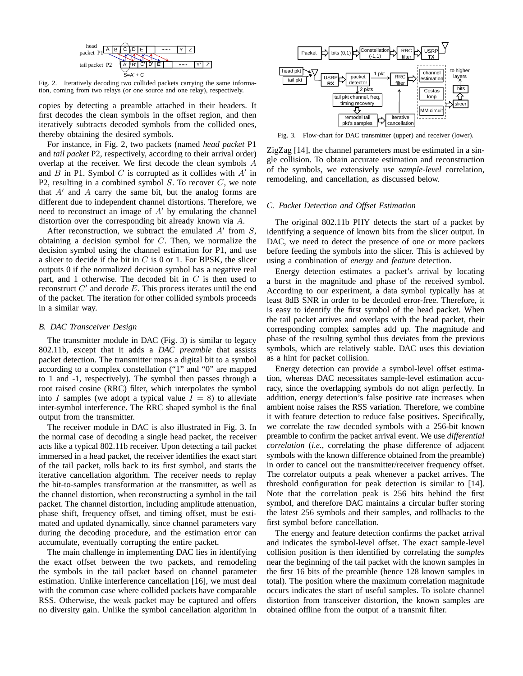

Fig. 2. Iteratively decoding two collided packets carrying the same information, coming from two relays (or one source and one relay), respectively.

copies by detecting a preamble attached in their headers. It first decodes the clean symbols in the offset region, and then iteratively subtracts decoded symbols from the collided ones, thereby obtaining the desired symbols.

For instance, in Fig. 2, two packets (named *head packet* P1 and *tail packet* P2, respectively, according to their arrival order) overlap at the receiver. We first decode the clean symbols A and  $\overrightarrow{B}$  in P1. Symbol C is corrupted as it collides with  $A'$  in P2, resulting in a combined symbol  $S$ . To recover  $C$ , we note that  $A'$  and  $\overline{A}$  carry the same bit, but the analog forms are different due to independent channel distortions. Therefore, we need to reconstruct an image of  $A'$  by emulating the channel distortion over the corresponding bit already known via A.

After reconstruction, we subtract the emulated  $A'$  from  $S$ , obtaining a decision symbol for C. Then, we normalize the decision symbol using the channel estimation for P1, and use a slicer to decide if the bit in  $C$  is 0 or 1. For BPSK, the slicer outputs 0 if the normalized decision symbol has a negative real part, and 1 otherwise. The decoded bit in  $C$  is then used to reconstruct  $C'$  and decode  $E$ . This process iterates until the end of the packet. The iteration for other collided symbols proceeds in a similar way.

#### *B. DAC Transceiver Design*

The transmitter module in DAC (Fig. 3) is similar to legacy 802.11b, except that it adds a *DAC preamble* that assists packet detection. The transmitter maps a digital bit to a symbol according to a complex constellation ("1" and "0" are mapped to 1 and -1, respectively). The symbol then passes through a root raised cosine (RRC) filter, which interpolates the symbol into I samples (we adopt a typical value  $I = 8$ ) to alleviate inter-symbol interference. The RRC shaped symbol is the final output from the transmitter.

The receiver module in DAC is also illustrated in Fig. 3. In the normal case of decoding a single head packet, the receiver acts like a typical 802.11b receiver. Upon detecting a tail packet immersed in a head packet, the receiver identifies the exact start of the tail packet, rolls back to its first symbol, and starts the iterative cancellation algorithm. The receiver needs to replay the bit-to-samples transformation at the transmitter, as well as the channel distortion, when reconstructing a symbol in the tail packet. The channel distortion, including amplitude attenuation, phase shift, frequency offset, and timing offset, must be estimated and updated dynamically, since channel parameters vary during the decoding procedure, and the estimation error can accumulate, eventually corrupting the entire packet.

The main challenge in implementing DAC lies in identifying the exact offset between the two packets, and remodeling the symbols in the tail packet based on channel parameter estimation. Unlike interference cancellation [16], we must deal with the common case where collided packets have comparable RSS. Otherwise, the weak packet may be captured and offers no diversity gain. Unlike the symbol cancellation algorithm in



Fig. 3. Flow-chart for DAC transmitter (upper) and receiver (lower).

ZigZag [14], the channel parameters must be estimated in a single collision. To obtain accurate estimation and reconstruction of the symbols, we extensively use *sample-level* correlation, remodeling, and cancellation, as discussed below.

## *C. Packet Detection and Offset Estimation*

The original 802.11b PHY detects the start of a packet by identifying a sequence of known bits from the slicer output. In DAC, we need to detect the presence of one or more packets before feeding the symbols into the slicer. This is achieved by using a combination of *energy* and *feature* detection.

Energy detection estimates a packet's arrival by locating a burst in the magnitude and phase of the received symbol. According to our experiment, a data symbol typically has at least 8dB SNR in order to be decoded error-free. Therefore, it is easy to identify the first symbol of the head packet. When the tail packet arrives and overlaps with the head packet, their corresponding complex samples add up. The magnitude and phase of the resulting symbol thus deviates from the previous symbols, which are relatively stable. DAC uses this deviation as a hint for packet collision.

Energy detection can provide a symbol-level offset estimation, whereas DAC necessitates sample-level estimation accuracy, since the overlapping symbols do not align perfectly. In addition, energy detection's false positive rate increases when ambient noise raises the RSS variation. Therefore, we combine it with feature detection to reduce false positives. Specifically, we correlate the raw decoded symbols with a 256-bit known preamble to confirm the packet arrival event. We use *differential correlation* (*i.e.*, correlating the phase difference of adjacent symbols with the known difference obtained from the preamble) in order to cancel out the transmitter/receiver frequency offset. The correlator outputs a peak whenever a packet arrives. The threshold configuration for peak detection is similar to [14]. Note that the correlation peak is 256 bits behind the first symbol, and therefore DAC maintains a circular buffer storing the latest 256 symbols and their samples, and rollbacks to the first symbol before cancellation.

The energy and feature detection confirms the packet arrival and indicates the symbol-level offset. The exact sample-level collision position is then identified by correlating the *samples* near the beginning of the tail packet with the known samples in the first 16 bits of the preamble (hence 128 known samples in total). The position where the maximum correlation magnitude occurs indicates the start of useful samples. To isolate channel distortion from transceiver distortion, the known samples are obtained offline from the output of a transmit filter.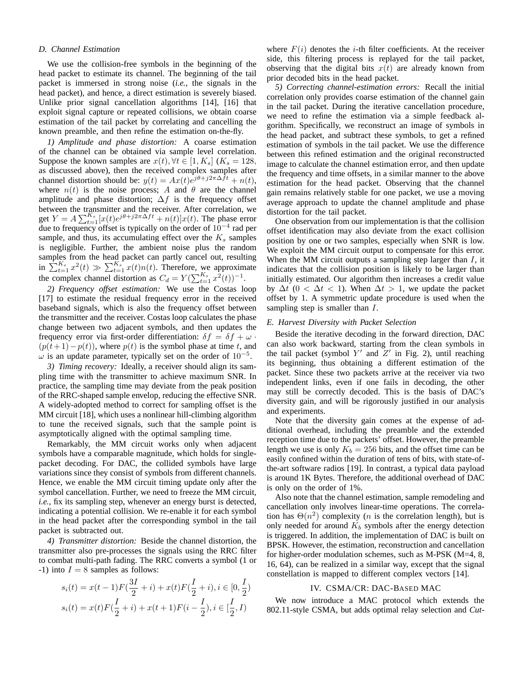#### *D. Channel Estimation*

We use the collision-free symbols in the beginning of the head packet to estimate its channel. The beginning of the tail packet is immersed in strong noise (*i.e.*, the signals in the head packet), and hence, a direct estimation is severely biased. Unlike prior signal cancellation algorithms [14], [16] that exploit signal capture or repeated collisions, we obtain coarse estimation of the tail packet by correlating and cancelling the known preamble, and then refine the estimation on-the-fly.

*1) Amplitude and phase distortion:* A coarse estimation of the channel can be obtained via sample level correlation. Suppose the known samples are  $x(t)$ ,  $\forall t \in [1, K_s]$  ( $K_s = 128$ , as discussed above), then the received complex samples after channel distortion should be:  $y(t) = Ax(t)e^{j\theta + j2\pi \Delta \bar{f}t} + n(t)$ , where  $n(t)$  is the noise process; A and  $\theta$  are the channel amplitude and phase distortion;  $\Delta f$  is the frequency offset between the transmitter and the receiver. After correlation, we get  $Y = A \sum_{t=1}^{K_s} [x(t)e^{j\theta + j2\pi\Delta ft} + n(t)]x(t)$ . The phase error due to frequency offset is typically on the order of  $10^{-4}$  rad per sample, and thus, its accumulating effect over the  $K_s$  samples is negligible. Further, the ambient noise plus the random samples from the head packet can partly cancel out, resulting in  $\sum_{t=1}^{K_s} x^2(t) \gg \sum_{t=1}^{K_s} x(t)n(t)$ . Therefore, we approximate the complex channel distortion as  $C_d = Y(\sum_{t=1}^{K_s} x^2(t))^{-1}$ .

*2) Frequency offset estimation:* We use the Costas loop [17] to estimate the residual frequency error in the received baseband signals, which is also the frequency offset between the transmitter and the receiver. Costas loop calculates the phase change between two adjacent symbols, and then updates the frequency error via first-order differentiation:  $\delta f = \delta f + \omega$ .  $(p(t+1)-p(t))$ , where  $p(t)$  is the symbol phase at time t, and  $\omega$  is an update parameter, typically set on the order of 10<sup>-5</sup>.

*3) Timing recovery:* Ideally, a receiver should align its sampling time with the transmitter to achieve maximum SNR. In practice, the sampling time may deviate from the peak position of the RRC-shaped sample envelop, reducing the effective SNR. A widely-adopted method to correct for sampling offset is the MM circuit [18], which uses a nonlinear hill-climbing algorithm to tune the received signals, such that the sample point is asymptotically aligned with the optimal sampling time.

Remarkably, the MM circuit works only when adjacent symbols have a comparable magnitude, which holds for singlepacket decoding. For DAC, the collided symbols have large variations since they consist of symbols from different channels. Hence, we enable the MM circuit timing update only after the symbol cancellation. Further, we need to freeze the MM circuit, *i.e.*, fix its sampling step, whenever an energy burst is detected, indicating a potential collision. We re-enable it for each symbol in the head packet after the corresponding symbol in the tail packet is subtracted out.

*4) Transmitter distortion:* Beside the channel distortion, the transmitter also pre-processes the signals using the RRC filter to combat multi-path fading. The RRC converts a symbol (1 or -1) into  $I = 8$  samples as follows:

$$
s_i(t) = x(t-1)F(\frac{3I}{2} + i) + x(t)F(\frac{I}{2} + i), i \in [0, \frac{I}{2})
$$
  

$$
s_i(t) = x(t)F(\frac{I}{2} + i) + x(t+1)F(i - \frac{I}{2}), i \in [\frac{I}{2}, I)
$$

where  $F(i)$  denotes the *i*-th filter coefficients. At the receiver side, this filtering process is replayed for the tail packet, observing that the digital bits  $x(t)$  are already known from prior decoded bits in the head packet.

*5) Correcting channel-estimation errors:* Recall the initial correlation only provides coarse estimation of the channel gain in the tail packet. During the iterative cancellation procedure, we need to refine the estimation via a simple feedback algorithm. Specifically, we reconstruct an image of symbols in the head packet, and subtract these symbols, to get a refined estimation of symbols in the tail packet. We use the difference between this refined estimation and the original reconstructed image to calculate the channel estimation error, and then update the frequency and time offsets, in a similar manner to the above estimation for the head packet. Observing that the channel gain remains relatively stable for one packet, we use a moving average approach to update the channel amplitude and phase distortion for the tail packet.

One observation from our implementation is that the collision offset identification may also deviate from the exact collision position by one or two samples, especially when SNR is low. We exploit the MM circuit output to compensate for this error. When the MM circuit outputs a sampling step larger than  $I$ , it indicates that the collision position is likely to be larger than initially estimated. Our algorithm then increases a credit value by  $\Delta t$  (0 <  $\Delta t$  < 1). When  $\Delta t > 1$ , we update the packet offset by 1. A symmetric update procedure is used when the sampling step is smaller than I.

# *E. Harvest Diversity with Packet Selection*

Beside the iterative decoding in the forward direction, DAC can also work backward, starting from the clean symbols in the tail packet (symbol  $Y'$  and  $Z'$  in Fig. 2), until reaching its beginning, thus obtaining a different estimation of the packet. Since these two packets arrive at the receiver via two independent links, even if one fails in decoding, the other may still be correctly decoded. This is the basis of DAC's diversity gain, and will be rigorously justified in our analysis and experiments.

Note that the diversity gain comes at the expense of additional overhead, including the preamble and the extended reception time due to the packets' offset. However, the preamble length we use is only  $K_b = 256$  bits, and the offset time can be easily confined within the duration of tens of bits, with state-ofthe-art software radios [19]. In contrast, a typical data payload is around 1K Bytes. Therefore, the additional overhead of DAC is only on the order of 1%.

Also note that the channel estimation, sample remodeling and cancellation only involves linear-time operations. The correlation has  $\Theta(n^2)$  complexity (*n* is the correlation length), but is only needed for around  $K_b$  symbols after the energy detection is triggered. In addition, the implementation of DAC is built on BPSK. However, the estimation, reconstruction and cancellation for higher-order modulation schemes, such as M-PSK (M=4, 8, 16, 64), can be realized in a similar way, except that the signal constellation is mapped to different complex vectors [14].

#### IV. CSMA/CR: DAC-BASED MAC

We now introduce a MAC protocol which extends the 802.11-style CSMA, but adds optimal relay selection and *Cut-*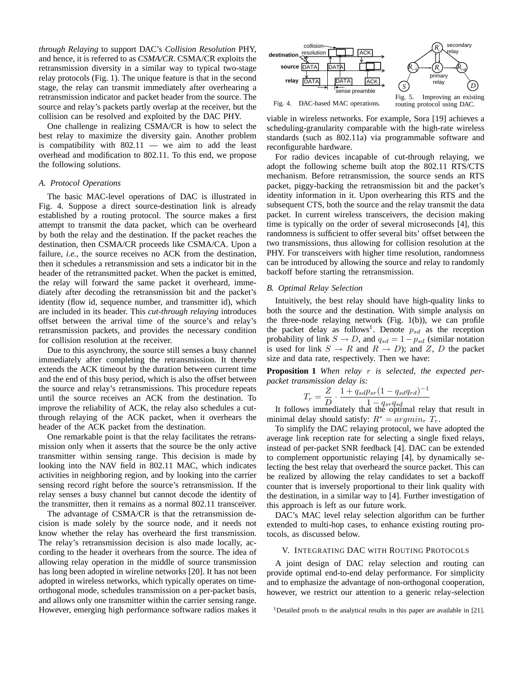*through Relaying* to support DAC's *Collision Resolution* PHY, and hence, it is referred to as *CSMA/CR*. CSMA/CR exploits the retransmission diversity in a similar way to typical two-stage relay protocols (Fig. 1). The unique feature is that in the second stage, the relay can transmit immediately after overhearing a retransmission indicator and packet header from the source. The source and relay's packets partly overlap at the receiver, but the collision can be resolved and exploited by the DAC PHY.

One challenge in realizing CSMA/CR is how to select the best relay to maximize the diversity gain. Another problem is compatibility with  $802.11$  — we aim to add the least overhead and modification to 802.11. To this end, we propose the following solutions.

## *A. Protocol Operations*

The basic MAC-level operations of DAC is illustrated in Fig. 4. Suppose a direct source-destination link is already established by a routing protocol. The source makes a first attempt to transmit the data packet, which can be overheard by both the relay and the destination. If the packet reaches the destination, then CSMA/CR proceeds like CSMA/CA. Upon a failure, *i.e.*, the source receives no ACK from the destination, then it schedules a retransmission and sets a indicator bit in the header of the retransmitted packet. When the packet is emitted, the relay will forward the same packet it overheard, immediately after decoding the retransmission bit and the packet's identity (flow id, sequence number, and transmitter id), which are included in its header. This *cut-through relaying* introduces offset between the arrival time of the source's and relay's retransmission packets, and provides the necessary condition for collision resolution at the receiver.

Due to this asynchrony, the source still senses a busy channel immediately after completing the retransmission. It thereby extends the ACK timeout by the duration between current time and the end of this busy period, which is also the offset between the source and relay's retransmissions. This procedure repeats until the source receives an ACK from the destination. To improve the reliability of ACK, the relay also schedules a cutthrough relaying of the ACK packet, when it overhears the header of the ACK packet from the destination.

One remarkable point is that the relay facilitates the retransmission only when it asserts that the source be the only active transmitter within sensing range. This decision is made by looking into the NAV field in 802.11 MAC, which indicates activities in neighboring region, and by looking into the carrier sensing record right before the source's retransmission. If the relay senses a busy channel but cannot decode the identity of the transmitter, then it remains as a normal 802.11 transceiver.

The advantage of CSMA/CR is that the retransmission decision is made solely by the source node, and it needs not know whether the relay has overheard the first transmission. The relay's retransmission decision is also made locally, according to the header it overhears from the source. The idea of allowing relay operation in the middle of source transmission has long been adopted in wireline networks [20]. It has not been adopted in wireless networks, which typically operates on timeorthogonal mode, schedules transmission on a per-packet basis, and allows only one transmitter within the carrier sensing range. However, emerging high performance software radios makes it



Fig. 4. DAC-based MAC operations.

viable in wireless networks. For example, Sora [19] achieves a scheduling-granularity comparable with the high-rate wireless standards (such as 802.11a) via programmable software and reconfigurable hardware.

For radio devices incapable of cut-through relaying, we adopt the following scheme built atop the 802.11 RTS/CTS mechanism. Before retransmission, the source sends an RTS packet, piggy-backing the retransmission bit and the packet's identity information in it. Upon overhearing this RTS and the subsequent CTS, both the source and the relay transmit the data packet. In current wireless transceivers, the decision making time is typically on the order of several microseconds [4], this randomness is sufficient to offer several bits' offset between the two transmissions, thus allowing for collision resolution at the PHY. For transceivers with higher time resolution, randomness can be introduced by allowing the source and relay to randomly backoff before starting the retransmission.

## *B. Optimal Relay Selection*

Intuitively, the best relay should have high-quality links to both the source and the destination. With simple analysis on the three-node relaying network (Fig. 1(b)), we can profile the packet delay as follows<sup>1</sup>. Denote  $p_{sd}$  as the reception probability of link  $S \to D$ , and  $q_{sd} = 1 - p_{sd}$  (similar notation is used for link  $S \to R$  and  $R \to D$ ; and Z, D the packet size and data rate, respectively. Then we have:

**Proposition 1** *When relay* r *is selected, the expected perpacket transmission delay is:*

$$
T_r = \frac{Z}{D} \cdot \frac{1 + q_{sd} p_{sr} (1 - q_{sd} q_{rd})^{-1}}{1 - q_{sr} q_{cd}}
$$

 $\begin{array}{cc} \n\text{I} & 1 - q_{sr}q_{sd} \\ \n\text{It follows immediately that the optimal relay that result in} \n\end{array}$ minimal delay should satisfy:  $R^* = \text{argmin}_r T_r$ .

To simplify the DAC relaying protocol, we have adopted the average link reception rate for selecting a single fixed relays, instead of per-packet SNR feedback [4]. DAC can be extended to complement opportunistic relaying [4], by dynamically selecting the best relay that overheard the source packet. This can be realized by allowing the relay candidates to set a backoff counter that is inversely proportional to their link quality with the destination, in a similar way to [4]. Further investigation of this approach is left as our future work.

DAC's MAC level relay selection algorithm can be further extended to multi-hop cases, to enhance existing routing protocols, as discussed below.

## V. INTEGRATING DAC WITH ROUTING PROTOCOLS

A joint design of DAC relay selection and routing can provide optimal end-to-end delay performance. For simplicity and to emphasize the advantage of non-orthogonal cooperation, however, we restrict our attention to a generic relay-selection

<sup>&</sup>lt;sup>1</sup>Detailed proofs to the analytical results in this paper are available in [21].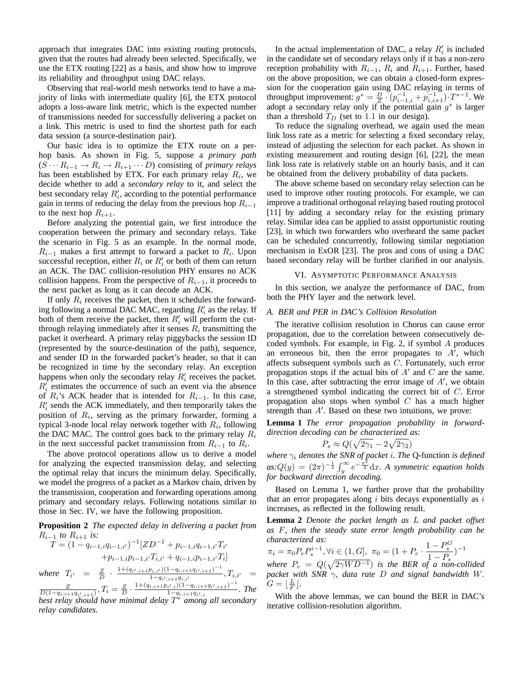approach that integrates DAC into existing routing protocols, given that the routes had already been selected. Specifically, we use the ETX routing [22] as a basis, and show how to improve its reliability and throughput using DAC relays.

Observing that real-world mesh networks tend to have a majority of links with intermediate quality [6], the ETX protocol adopts a loss-aware link metric, which is the expected number of transmissions needed for successfully delivering a packet on a link. This metric is used to find the shortest path for each data session (a source-destination pair).

Our basic idea is to optimize the ETX route on a perhop basis. As shown in Fig. 5, suppose a *primary path*  $(S \cdots R_{i-1} \rightarrow R_i \rightarrow R_{i+1} \cdots D)$  consisting of *primary relays* has been established by ETX. For each primary relay  $R_i$ , we decide whether to add a *secondary relay* to it, and select the best secondary relay  $R'_i$ , according to the potential performance gain in terms of reducing the delay from the previous hop  $R_{i-1}$ to the next hop  $R_{i+1}$ .

Before analyzing the potential gain, we first introduce the cooperation between the primary and secondary relays. Take the scenario in Fig. 5 as an example. In the normal mode,  $R_{i-1}$  makes a first attempt to forward a packet to  $R_i$ . Upon successful reception, either  $R_i$  or  $R'_i$  or both of them can return an ACK. The DAC collision-resolution PHY ensures no ACK collision happens. From the perspective of  $R_{i-1}$ , it proceeds to the next packet as long as it can decode an ACK.

If only  $R_i$  receives the packet, then it schedules the forwarding following a normal DAC MAC, regarding  $R'_i$  as the relay. If both of them receive the packet, then  $R'_i$  will perform the cutthrough relaying immediately after it senses  $R_i$  transmitting the packet it overheard. A primary relay piggybacks the session ID (represented by the source-destination of the path), sequence, and sender ID in the forwarded packet's header, so that it can be recognized in time by the secondary relay. An exception happens when only the secondary relay  $R'_i$  receives the packet.  $R'_i$  estimates the occurrence of such an event via the absence of  $R_i$ 's ACK header that is intended for  $R_{i-1}$ . In this case,  $R'_{i}$  sends the ACK immediately, and then temporarily takes the position of  $R_i$ , serving as the primary forwarder, forming a typical 3-node local relay network together with  $R_i$ , following the DAC MAC. The control goes back to the primary relay  $R_i$ in the next successful packet transmission from  $R_{i-1}$  to  $R_i$ .

The above protocol operations allow us to derive a model for analyzing the expected transmission delay, and selecting the optimal relay that incurs the minimum delay. Specifically, we model the progress of a packet as a Markov chain, driven by the transmission, cooperation and forwarding operations among primary and secondary relays. Following notations similar to those in Sec. IV, we have the following proposition.

**Proposition 2** *The expected delay in delivering a packet from*  $R_{i-1}$  *to*  $R_{i+1}$  *is:* 

$$
T = (1 - q_{i-1,i}q_{i-1,i'})^{-1}[ZD^{-1} + p_{i-1,i}q_{i-1,i'}T_{i'}
$$
  
+  $p_{i-1,i}p_{i-1,i'}T_{i,i'} + q_{i-1,i}p_{i-1,i'}T_i]$   
where  $T_{i'} = \frac{Z}{D} \cdot \frac{1 + (q_{i',i+1}p_{i,i'}) (1 - q_{i,i+1}q_{i',i+1})^{-1}}{1 - q_{i',i+1}q_{i,i'}}, T_{i,i'} = \frac{Z}{D(1 - q_{i,i+1}q_{i',i+1})}, T_i = \frac{Z}{D} \cdot \frac{1 + (q_{i,i+1}p_{i',i})(1 - q_{i,i+1}q_{i',i+1})^{-1}}{1 - q_{i,i+1}q_{i',i}}.$  The

*best relay should have minimal delay* T <sup>∗</sup> *among all secondary relay candidates.*

In the actual implementation of DAC, a relay  $R'_i$  is included in the candidate set of secondary relays only if it has a non-zero reception probability with  $R_{i-1}$ ,  $R_i$  and  $R_{i+1}$ . Further, based on the above proposition, we can obtain a closed-form expression for the cooperation gain using DAC relaying in terms of throughput improvement:  $g^* = \frac{D}{Z} \left( p_{i-1,i}^{-1} + p_{i,i+1}^{-1} \right) \cdot T^{*-1}$ . We adopt a secondary relay only if the potential gain  $g^*$  is larger than a threshold  $T_D$  (set to 1.1 in our design).

To reduce the signaling overhead, we again used the mean link loss rate as a metric for selecting a fixed secondary relay, instead of adjusting the selection for each packet. As shown in existing measurement and routing design [6], [22], the mean link loss rate is relatively stable on an hourly basis, and it can be obtained from the delivery probability of data packets.

The above scheme based on secondary relay selection can be used to improve other routing protocols. For example, we can improve a traditional orthogonal relaying based routing protocol [11] by adding a secondary relay for the existing primary relay. Similar idea can be applied to assist opportunistic routing [23], in which two forwarders who overheard the same packet can be scheduled concurrently, following similar negotiation mechanism in ExOR [23]. The pros and cons of using a DAC based secondary relay will be further clarified in our analysis.

## VI. ASYMPTOTIC PERFORMANCE ANALYSIS

In this section, we analyze the performance of DAC, from both the PHY layer and the network level.

## *A. BER and PER in DAC's Collision Resolution*

The iterative collision resolution in Chorus can cause error propagation, due to the correlation between consecutively decoded symbols. For example, in Fig. 2, if symbol A produces an erroneous bit, then the error propagates to  $A'$ , which affects subsequent symbols such as C. Fortunately, such error propagation stops if the actual bits of  $A'$  and  $C$  are the same. In this case, after subtracting the error image of  $A'$ , we obtain a strengthened symbol indicating the correct bit of C. Error propagation also stops when symbol  $C$  has a much higher strength than  $A'$ . Based on these two intuitions, we prove:

**Lemma 1** *The error propagation probability in forwarddirection decoding can be characterized as:*

$$
P_s \approx Q(\sqrt{2\gamma_1} - 2\sqrt{2\gamma_2})
$$

*where* γ<sup>i</sup> *denotes the SNR of packet* i*. The* Q-function *is defined*  $as:Q(y)=(2\pi)^{-\frac{1}{2}}\int_{y}^{\infty}e^{-\frac{x^{2}}{2}}dx$ . A symmetric equation holds *for backward direction decoding.*

Based on Lemma 1, we further prove that the probability that an error propagates along  $i$  bits decays exponentially as  $i$ increases, as reflected in the following result.

**Lemma 2** *Denote the packet length as* L *and packet offset as* F*, then the steady state error length probability can be characterized as:*  $\overline{C}$ 

$$
\pi_i = \pi_0 P_e P_s^{i-1}, \forall i \in (1, G], \ \pi_0 = (1 + P_e \cdot \frac{1 - P_s^G}{1 - P_s})^{-1}
$$

*where*  $P_e = Q(\sqrt{2\gamma WD^{-1}})$  *is the BER of a non-collided packet with SNR* γ*, data rate* D *and signal bandwidth* W*.*  $G = \lfloor \frac{L}{F} \rfloor.$ 

With the above lemmas, we can bound the BER in DAC's iterative collision-resolution algorithm.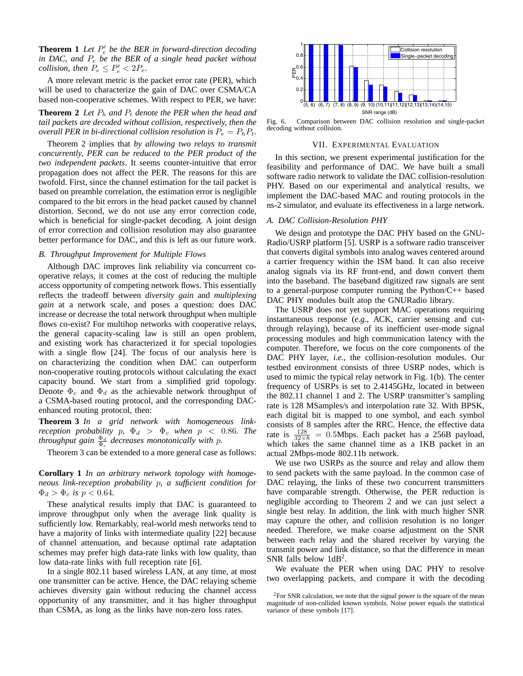**Theorem 1** Let  $P_e^t$  be the BER in forward-direction decoding *in DAC, and* P<sup>e</sup> *be the BER of a single head packet without collision, then*  $\overline{P}_e \leq P'_e < 2P_e$ *.* 

A more relevant metric is the packet error rate (PER), which will be used to characterize the gain of DAC over CSMA/CA based non-cooperative schemes. With respect to PER, we have:

**Theorem 2** *Let*  $P_h$  *and*  $P_t$  *denote the PER when the head and tail packets are decoded without collision, respectively, then the overall PER in bi-directional collision resolution is*  $P_v = P_h P_t$ .

Theorem 2 implies that *by allowing two relays to transmit concurrently, PER can be reduced to the PER product of the two independent packets*. It seems counter-intuitive that error propagation does not affect the PER. The reasons for this are twofold. First, since the channel estimation for the tail packet is based on preamble correlation, the estimation error is negligible compared to the bit errors in the head packet caused by channel distortion. Second, we do not use any error correction code, which is beneficial for single-packet decoding. A joint design of error correction and collision resolution may also guarantee better performance for DAC, and this is left as our future work.

## *B. Throughput Improvement for Multiple Flows*

Although DAC improves link reliability via concurrent cooperative relays, it comes at the cost of reducing the multiple access opportunity of competing network flows. This essentially reflects the tradeoff between *diversity gain* and *multiplexing gain* at a network scale, and poses a question: does DAC increase or decrease the total network throughput when multiple flows co-exist? For multihop networks with cooperative relays, the general capacity-scaling law is still an open problem, and existing work has characterized it for special topologies with a single flow [24]. The focus of our analysis here is on characterizing the condition when DAC can outperform non-cooperative routing protocols without calculating the exact capacity bound. We start from a simplified grid topology. Denote  $\Phi_c$  and  $\Phi_d$  as the achievable network throughput of a CSMA-based routing protocol, and the corresponding DACenhanced routing protocol, then:

**Theorem 3** *In a grid network with homogeneous linkreception probability*  $p$ ,  $\Phi_d$  >  $\Phi_c$  *when*  $p$  < 0.86*. The throughput gain*  $\frac{\Phi_d}{\Phi_c}$  *decreases monotonically with p.* 

Theorem 3 can be extended to a more general case as follows:

**Corollary 1** *In an arbitrary network topology with homogeneous link-reception probability* p*, a sufficient condition for*  $\Phi_d > \Phi_c$  *is*  $p < 0.64$ .

These analytical results imply that DAC is guaranteed to improve throughput only when the average link quality is sufficiently low. Remarkably, real-world mesh networks tend to have a majority of links with intermediate quality [22] because of channel attenuation, and because optimal rate adaptation schemes may prefer high data-rate links with low quality, than low data-rate links with full reception rate [6].

In a single 802.11 based wireless LAN, at any time, at most one transmitter can be active. Hence, the DAC relaying scheme achieves diversity gain without reducing the channel access opportunity of any transmitter, and it has higher throughput than CSMA, as long as the links have non-zero loss rates.



Fig. 6. Comparison between DAC collision resolution and single-packet decoding without collision.

#### VII. EXPERIMENTAL EVALUATION

In this section, we present experimental justification for the feasibility and performance of DAC. We have built a small software radio network to validate the DAC collision-resolution PHY. Based on our experimental and analytical results, we implement the DAC-based MAC and routing protocols in the ns-2 simulator, and evaluate its effectiveness in a large network.

## *A. DAC Collision-Resolution PHY*

We design and prototype the DAC PHY based on the GNU-Radio/USRP platform [5]. USRP is a software radio transceiver that converts digital symbols into analog waves centered around a carrier frequency within the ISM band. It can also receive analog signals via its RF front-end, and down convert them into the baseband. The baseband digitized raw signals are sent to a general-purpose computer running the Python/C++ based DAC PHY modules built atop the GNURadio library.

The USRP does not yet support MAC operations requiring instantaneous response (*e.g.*, ACK, carrier sensing and cutthrough relaying), because of its inefficient user-mode signal processing modules and high communication latency with the computer. Therefore, we focus on the core components of the DAC PHY layer, *i.e.*, the collision-resolution modules. Our testbed environment consists of three USRP nodes, which is used to mimic the typical relay network in Fig. 1(b). The center frequency of USRPs is set to 2.4145GHz, located in between the 802.11 channel 1 and 2. The USRP transmitter's sampling rate is 128 MSamples/s and interpolation rate 32. With BPSK, each digital bit is mapped to one symbol, and each symbol consists of 8 samples after the RRC. Hence, the effective data rate is  $\frac{128}{32 \times 8} = 0.5$ Mbps. Each packet has a 256B payload, which takes the same channel time as a 1KB packet in an actual 2Mbps-mode 802.11b network.

We use two USRPs as the source and relay and allow them to send packets with the same payload. In the common case of DAC relaying, the links of these two concurrent transmitters have comparable strength. Otherwise, the PER reduction is negligible according to Theorem 2 and we can just select a single best relay. In addition, the link with much higher SNR may capture the other, and collision resolution is no longer needed. Therefore, we make coarse adjustment on the SNR between each relay and the shared receiver by varying the transmit power and link distance, so that the difference in mean SNR falls below  $1dB^2$ .

We evaluate the PER when using DAC PHY to resolve two overlapping packets, and compare it with the decoding

<sup>2</sup>For SNR calculation, we note that the signal power is the square of the mean magnitude of non-collided known symbols. Noise power equals the statistical variance of these symbols [17].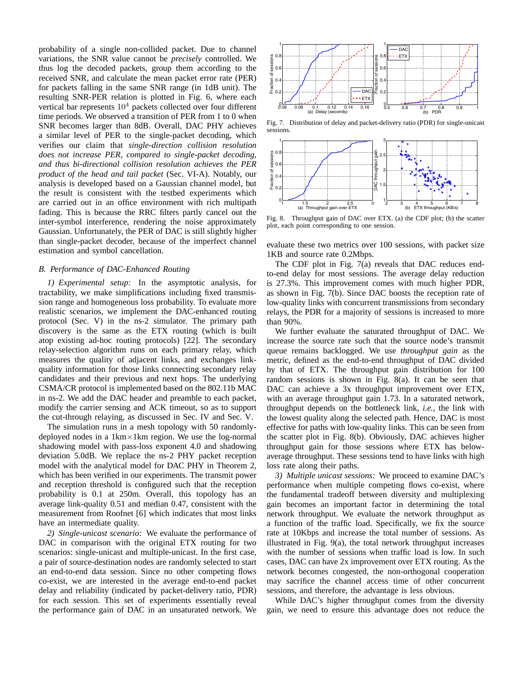probability of a single non-collided packet. Due to channel variations, the SNR value cannot be *precisely* controlled. We thus log the decoded packets, group them according to the received SNR, and calculate the mean packet error rate (PER) for packets falling in the same SNR range (in 1dB unit). The resulting SNR-PER relation is plotted in Fig. 6, where each vertical bar represents  $10<sup>4</sup>$  packets collected over four different time periods. We observed a transition of PER from 1 to 0 when SNR becomes larger than 8dB. Overall, DAC PHY achieves a similar level of PER to the single-packet decoding, which verifies our claim that *single-direction collision resolution does not increase PER, compared to single-packet decoding, and thus bi-directional collision resolution achieves the PER product of the head and tail packet* (Sec. VI-A). Notably, our analysis is developed based on a Gaussian channel model, but the result is consistent with the testbed experiments which are carried out in an office environment with rich multipath fading. This is because the RRC filters partly cancel out the inter-symbol interference, rendering the noise approximately Gaussian. Unfortunately, the PER of DAC is still slightly higher than single-packet decoder, because of the imperfect channel estimation and symbol cancellation.

#### *B. Performance of DAC-Enhanced Routing*

*1) Experimental setup:* In the asymptotic analysis, for tractability, we make simplifications including fixed transmission range and homogeneous loss probability. To evaluate more realistic scenarios, we implement the DAC-enhanced routing protocol (Sec. V) in the ns-2 simulator. The primary path discovery is the same as the ETX routing (which is built atop existing ad-hoc routing protocols) [22]. The secondary relay-selection algorithm runs on each primary relay, which measures the quality of adjacent links, and exchanges linkquality information for those links connecting secondary relay candidates and their previous and next hops. The underlying CSMA/CR protocol is implemented based on the 802.11b MAC in ns-2. We add the DAC header and preamble to each packet, modify the carrier sensing and ACK timeout, so as to support the cut-through relaying, as discussed in Sec. IV and Sec. V.

The simulation runs in a mesh topology with 50 randomlydeployed nodes in a  $1km \times 1km$  region. We use the log-normal shadowing model with pass-loss exponent 4.0 and shadowing deviation 5.0dB. We replace the ns-2 PHY packet reception model with the analytical model for DAC PHY in Theorem 2, which has been verified in our experiments. The transmit power and reception threshold is configured such that the reception probability is 0.1 at 250m. Overall, this topology has an average link-quality 0.51 and median 0.47, consistent with the measurement from Roofnet [6] which indicates that most links have an intermediate quality.

*2) Single-unicast scenario:* We evaluate the performance of DAC in comparison with the original ETX routing for two scenarios: single-unicast and multiple-unicast. In the first case, a pair of source-destination nodes are randomly selected to start an end-to-end data session. Since no other competing flows co-exist, we are interested in the average end-to-end packet delay and reliability (indicated by packet-delivery ratio, PDR) for each session. This set of experiments essentially reveal the performance gain of DAC in an unsaturated network. We



Fig. 7. Distribution of delay and packet-delivery ratio (PDR) for single-unicast sessions.



Fig. 8. Throughput gain of DAC over ETX. (a) the CDF plot; (b) the scatter plot, each point corresponding to one session.

evaluate these two metrics over 100 sessions, with packet size 1KB and source rate 0.2Mbps.

The CDF plot in Fig. 7(a) reveals that DAC reduces endto-end delay for most sessions. The average delay reduction is 27.3%. This improvement comes with much higher PDR, as shown in Fig. 7(b). Since DAC boosts the reception rate of low-quality links with concurrent transmissions from secondary relays, the PDR for a majority of sessions is increased to more than 90%.

We further evaluate the saturated throughput of DAC. We increase the source rate such that the source node's transmit queue remains backlogged. We use *throughput gain* as the metric, defined as the end-to-end throughput of DAC divided by that of ETX. The throughput gain distribution for 100 random sessions is shown in Fig. 8(a). It can be seen that DAC can achieve a 3x throughput improvement over ETX, with an average throughput gain 1.73. In a saturated network, throughput depends on the bottleneck link, *i.e.*, the link with the lowest quality along the selected path. Hence, DAC is most effective for paths with low-quality links. This can be seen from the scatter plot in Fig. 8(b). Obviously, DAC achieves higher throughput gain for those sessions where ETX has belowaverage throughput. These sessions tend to have links with high loss rate along their paths.

*3) Multiple unicast sessions:* We proceed to examine DAC's performance when multiple competing flows co-exist, where the fundamental tradeoff between diversity and multiplexing gain becomes an important factor in determining the total network throughput. We evaluate the network throughput as a function of the traffic load. Specifically, we fix the source rate at 10Kbps and increase the total number of sessions. As illustrated in Fig. 9(a), the total network throughput increases with the number of sessions when traffic load is low. In such cases, DAC can have 2x improvement over ETX routing. As the network becomes congested, the non-orthogonal cooperation may sacrifice the channel access time of other concurrent sessions, and therefore, the advantage is less obvious.

While DAC's higher throughput comes from the diversity gain, we need to ensure this advantage does not reduce the